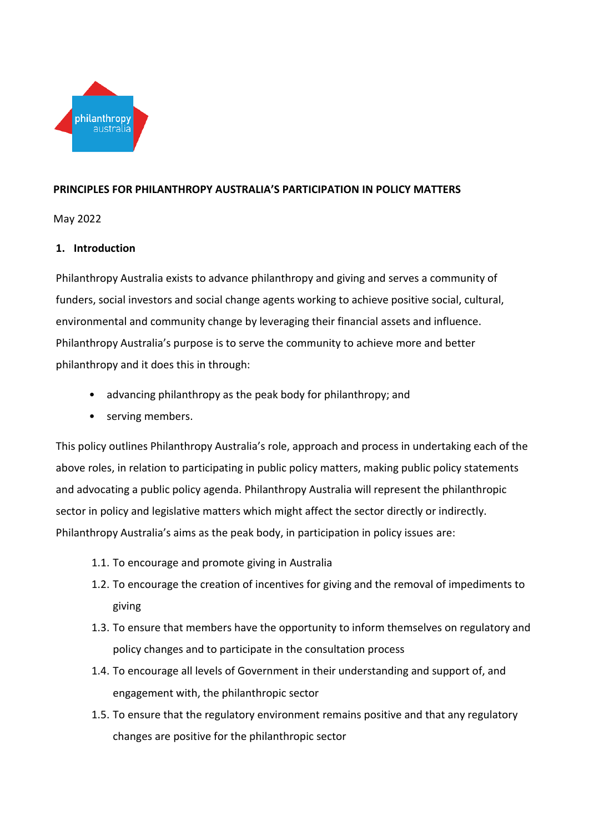

## **PRINCIPLES FOR PHILANTHROPY AUSTRALIA'S PARTICIPATION IN POLICY MATTERS**

May 2022

## **1. Introduction**

Philanthropy Australia exists to advance philanthropy and giving and serves a community of funders, social investors and social change agents working to achieve positive social, cultural, environmental and community change by leveraging their financial assets and influence. Philanthropy Australia's purpose is to serve the community to achieve more and better philanthropy and it does this in through:

- advancing philanthropy as the peak body for philanthropy; and
- serving members.

This policy outlines Philanthropy Australia's role, approach and process in undertaking each of the above roles, in relation to participating in public policy matters, making public policy statements and advocating a public policy agenda. Philanthropy Australia will represent the philanthropic sector in policy and legislative matters which might affect the sector directly or indirectly. Philanthropy Australia's aims as the peak body, in participation in policy issues are:

- 1.1. To encourage and promote giving in Australia
- 1.2. To encourage the creation of incentives for giving and the removal of impediments to giving
- 1.3. To ensure that members have the opportunity to inform themselves on regulatory and policy changes and to participate in the consultation process
- 1.4. To encourage all levels of Government in their understanding and support of, and engagement with, the philanthropic sector
- 1.5. To ensure that the regulatory environment remains positive and that any regulatory changes are positive for the philanthropic sector